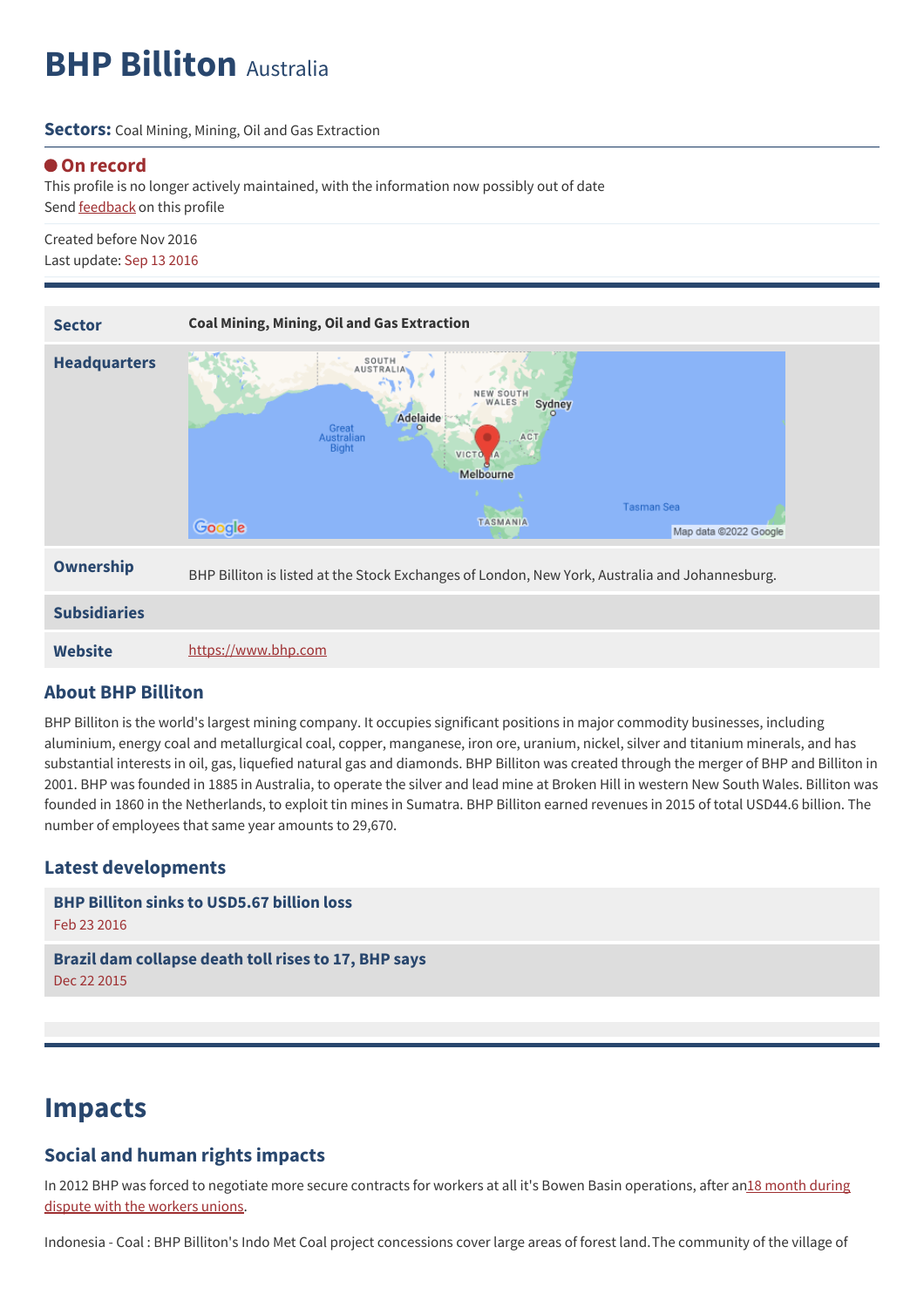# **BHP Billiton** Australia

**Sectors:** Coal Mining, Mining, Oil and Gas Extraction

#### **On record**

This profile is no longer actively maintained, with the information now possibly out of date Send [feedback](https://www.banktrack.org/feedback/companyprofile/bhp_billiton) on this profile

Created before Nov 2016 Last update: Sep 13 2016



#### **Website** <https://www.bhp.com>

### **About BHP Billiton**

BHP Billiton is the world's largest mining company. It occupies significant positions in major commodity businesses, including aluminium, energy coal and metallurgical coal, copper, manganese, iron ore, uranium, nickel, silver and titanium minerals, and has substantial interests in oil, gas, liquefied natural gas and diamonds. BHP Billiton was created through the merger of BHP and Billiton in 2001. BHP was founded in 1885 in Australia, to operate the silver and lead mine at Broken Hill in western New South Wales. Billiton was founded in 1860 in the Netherlands, to exploit tin mines in Sumatra. BHP Billiton earned revenues in 2015 of total USD44.6 billion. The number of employees that same year amounts to 29,670.

### **Latest developments**

```
BHP Billiton sinks to USD5.67 billion loss
Feb 23 2016
```
**Brazil dam [collapse](javascript:void(0)) death toll rises to 17, BHP says** Dec 22 2015

# **Impacts**

### **Social and human rights impacts**

In 2012 BHP was forced to negotiate more secure contracts for workers at all it's Bowen Basin [operations,](http://bhpbillitonwatch.files.wordpress.com/2012/11/bhp_report_2012.pdf) after an18 month during dispute with the workers unions.

Indonesia - Coal : BHP Billiton's Indo Met Coal project concessions cover large areas of forest land.The community of the village of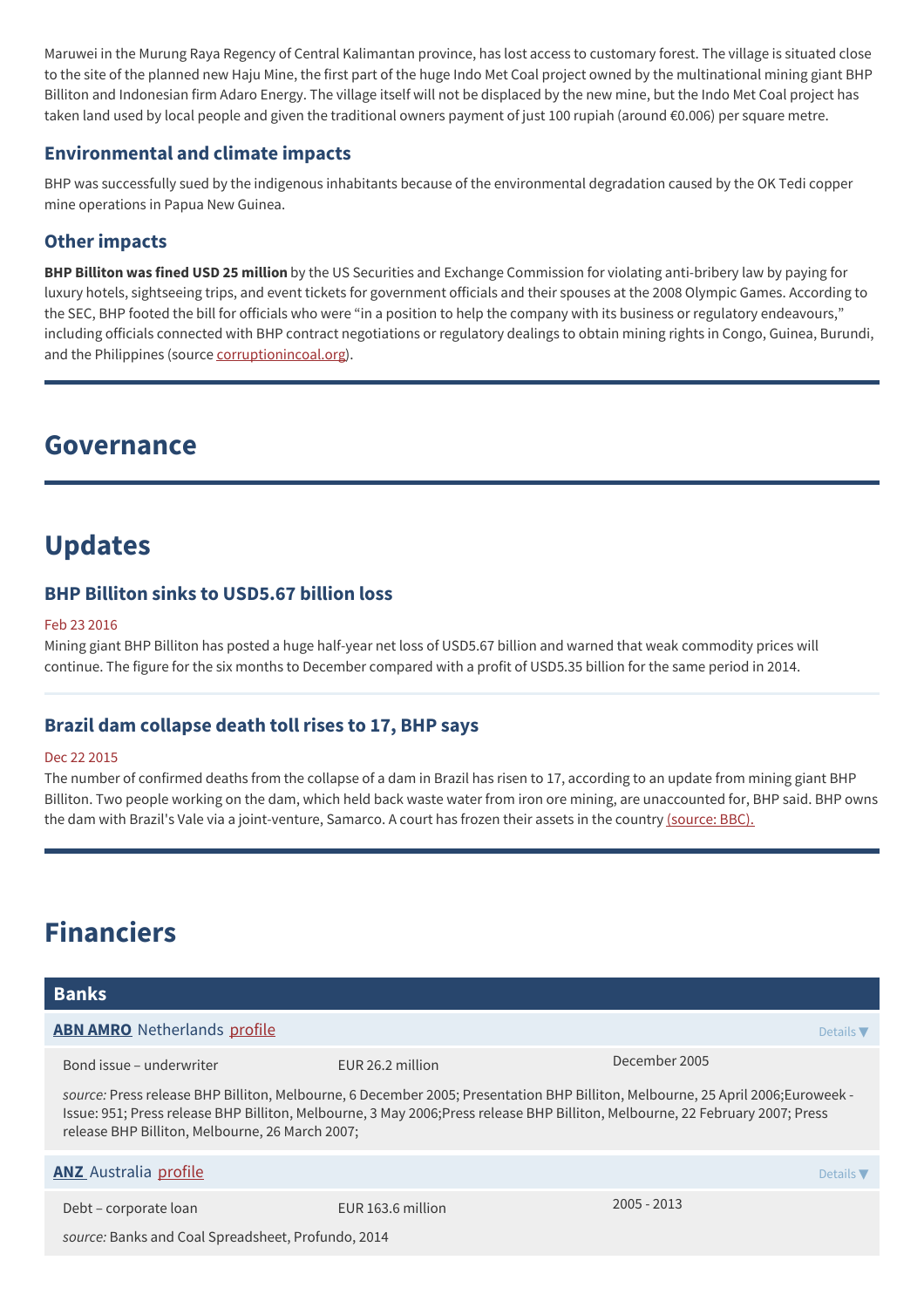Maruwei in the Murung Raya Regency of Central Kalimantan province, has lost access to customary forest. The village is situated close to the site of the planned new Haju Mine, the first part of the huge Indo Met Coal project owned by the multinational mining giant BHP Billiton and Indonesian firm Adaro Energy. The village itself will not be displaced by the new mine, but the Indo Met Coal project has taken land used by local people and given the traditional owners payment of just 100 rupiah (around €0.006) per square metre.

# **Environmental and climate impacts**

BHP was successfully sued by the indigenous inhabitants because of the environmental degradation caused by the OK Tedi copper mine operations in Papua New Guinea.

# **Other impacts**

**BHP Billiton was fined USD 25 million** by the US Securities and Exchange Commission for violating anti-bribery law by paying for luxury hotels, sightseeing trips, and event tickets for government officials and their spouses at the 2008 Olympic Games. According to the SEC, BHP footed the bill for officials who were "in a position to help the company with its business or regulatory endeavours," including officials connected with BHP contract negotiations or regulatory dealings to obtain mining rights in Congo, Guinea, Burundi, and the Philippines (source [corruptionincoal.org](http://www.corruptionincoal.org/2016/10/19/mining-multinational-fined-25-million-for-anti-bribery-violation/)).

# **Governance**

# **Updates**

### **BHP Billiton sinks to USD5.67 billion loss**

#### Feb 23 2016

Mining giant BHP Billiton has posted a huge half-year net loss of USD5.67 billion and warned that weak commodity prices will continue. The figure for the six months to December compared with a profit of USD5.35 billion for the same period in 2014.

# **Brazil dam collapse death toll rises to 17, BHP says**

#### Dec 22 2015

The number of confirmed deaths from the collapse of a dam in Brazil has risen to 17, according to an update from mining giant BHP Billiton. Two people working on the dam, which held back waste water from iron ore mining, are unaccounted for, BHP said. BHP owns the dam with Brazil's Vale via a joint-venture, Samarco. A court has frozen their assets in the country [\(source:](http://www.bbc.com/news/business-35158646) BBC).

# **Financiers**

| <b>Banks</b>                                                                                                                                                                                                                                                                                                      |                   |                              |  |
|-------------------------------------------------------------------------------------------------------------------------------------------------------------------------------------------------------------------------------------------------------------------------------------------------------------------|-------------------|------------------------------|--|
| <b>ABN AMRO</b> Netherlands profile                                                                                                                                                                                                                                                                               |                   | Details $\nabla$             |  |
| Bond issue – underwriter                                                                                                                                                                                                                                                                                          | EUR 26.2 million  | December 2005                |  |
| source: Press release BHP Billiton, Melbourne, 6 December 2005; Presentation BHP Billiton, Melbourne, 25 April 2006;Euroweek -<br>Issue: 951; Press release BHP Billiton, Melbourne, 3 May 2006;Press release BHP Billiton, Melbourne, 22 February 2007; Press<br>release BHP Billiton, Melbourne, 26 March 2007; |                   |                              |  |
| <b>ANZ</b> Australia profile                                                                                                                                                                                                                                                                                      |                   | Details $\blacktriangledown$ |  |
| Debt - corporate loan                                                                                                                                                                                                                                                                                             | EUR 163.6 million | $2005 - 2013$                |  |
| source: Banks and Coal Spreadsheet, Profundo, 2014                                                                                                                                                                                                                                                                |                   |                              |  |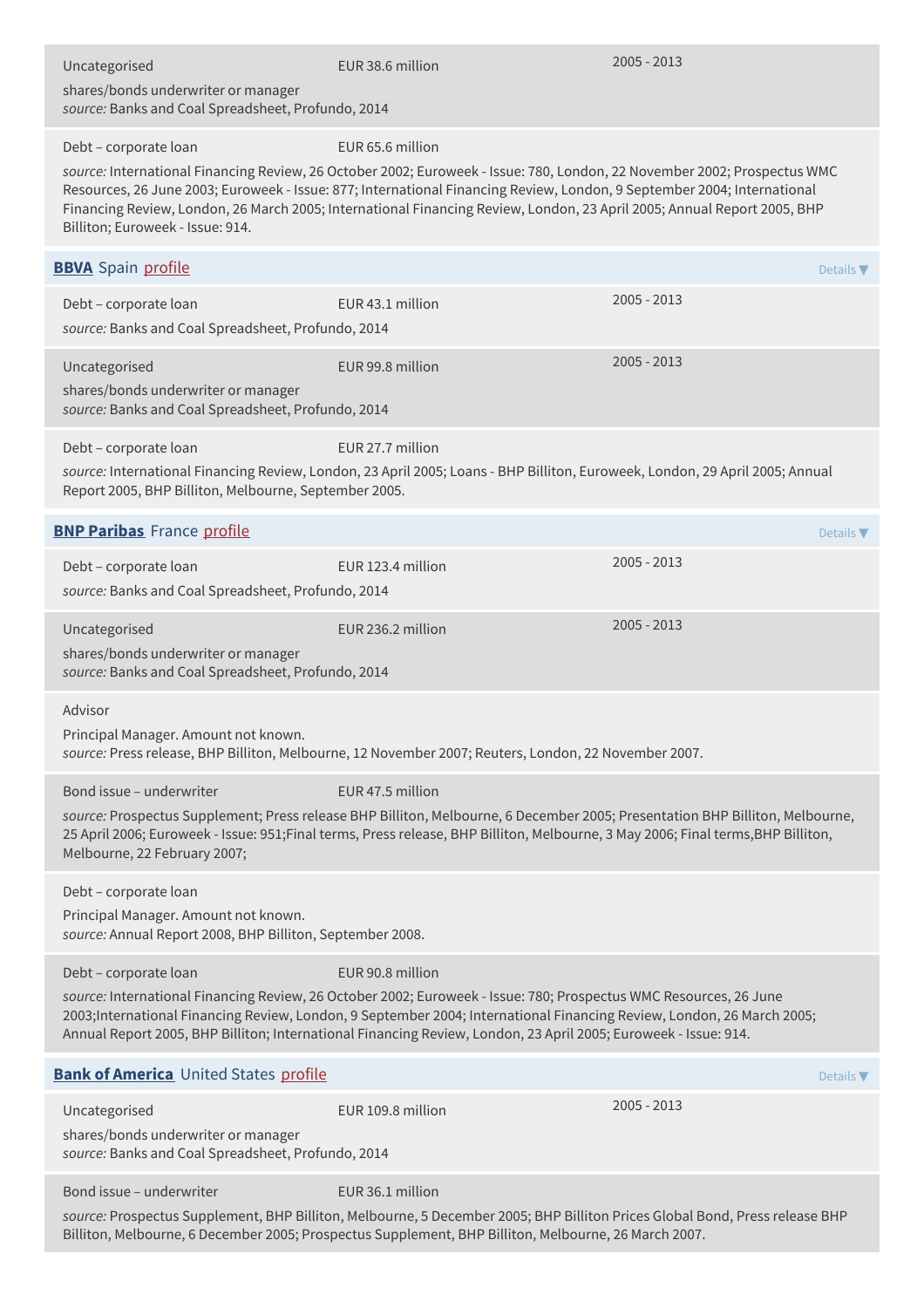| Uncategorised<br>shares/bonds underwriter or manager<br>source: Banks and Coal Spreadsheet, Profundo, 2014                                                                                                                          | EUR 38.6 million                                                                                                                                                                                                                                                                                                                                                                                   | $2005 - 2013$                |  |
|-------------------------------------------------------------------------------------------------------------------------------------------------------------------------------------------------------------------------------------|----------------------------------------------------------------------------------------------------------------------------------------------------------------------------------------------------------------------------------------------------------------------------------------------------------------------------------------------------------------------------------------------------|------------------------------|--|
| Debt - corporate loan<br>Billiton; Euroweek - Issue: 914.                                                                                                                                                                           | EUR 65.6 million<br>source: International Financing Review, 26 October 2002; Euroweek - Issue: 780, London, 22 November 2002; Prospectus WMC<br>Resources, 26 June 2003; Euroweek - Issue: 877; International Financing Review, London, 9 September 2004; International<br>Financing Review, London, 26 March 2005; International Financing Review, London, 23 April 2005; Annual Report 2005, BHP |                              |  |
| <b>BBVA</b> Spain profile                                                                                                                                                                                                           |                                                                                                                                                                                                                                                                                                                                                                                                    | Details $\blacktriangledown$ |  |
| Debt - corporate loan<br>source: Banks and Coal Spreadsheet, Profundo, 2014                                                                                                                                                         | EUR 43.1 million                                                                                                                                                                                                                                                                                                                                                                                   | 2005 - 2013                  |  |
| Uncategorised<br>shares/bonds underwriter or manager<br>source: Banks and Coal Spreadsheet, Profundo, 2014                                                                                                                          | EUR 99.8 million                                                                                                                                                                                                                                                                                                                                                                                   | $2005 - 2013$                |  |
| Debt - corporate loan<br>Report 2005, BHP Billiton, Melbourne, September 2005.                                                                                                                                                      | EUR 27.7 million<br>source: International Financing Review, London, 23 April 2005; Loans - BHP Billiton, Euroweek, London, 29 April 2005; Annual                                                                                                                                                                                                                                                   |                              |  |
| <b>BNP Paribas</b> France profile                                                                                                                                                                                                   |                                                                                                                                                                                                                                                                                                                                                                                                    | Details $\nabla$             |  |
| Debt - corporate loan<br>source: Banks and Coal Spreadsheet, Profundo, 2014                                                                                                                                                         | EUR 123.4 million                                                                                                                                                                                                                                                                                                                                                                                  | 2005 - 2013                  |  |
| Uncategorised<br>shares/bonds underwriter or manager<br>source: Banks and Coal Spreadsheet, Profundo, 2014                                                                                                                          | EUR 236.2 million                                                                                                                                                                                                                                                                                                                                                                                  | 2005 - 2013                  |  |
| Advisor<br>Principal Manager. Amount not known.                                                                                                                                                                                     | source: Press release, BHP Billiton, Melbourne, 12 November 2007; Reuters, London, 22 November 2007.                                                                                                                                                                                                                                                                                               |                              |  |
| Bond issue - underwriter<br>Melbourne, 22 February 2007;                                                                                                                                                                            | EUR 47.5 million<br>source: Prospectus Supplement; Press release BHP Billiton, Melbourne, 6 December 2005; Presentation BHP Billiton, Melbourne,<br>25 April 2006; Euroweek - Issue: 951; Final terms, Press release, BHP Billiton, Melbourne, 3 May 2006; Final terms, BHP Billiton,                                                                                                              |                              |  |
| Debt - corporate loan<br>Principal Manager. Amount not known.<br>source: Annual Report 2008, BHP Billiton, September 2008.                                                                                                          |                                                                                                                                                                                                                                                                                                                                                                                                    |                              |  |
| Debt - corporate loan                                                                                                                                                                                                               | EUR 90.8 million<br>source: International Financing Review, 26 October 2002; Euroweek - Issue: 780; Prospectus WMC Resources, 26 June<br>2003;International Financing Review, London, 9 September 2004; International Financing Review, London, 26 March 2005;<br>Annual Report 2005, BHP Billiton; International Financing Review, London, 23 April 2005; Euroweek - Issue: 914.                  |                              |  |
| <b>Bank of America</b> United States profile                                                                                                                                                                                        |                                                                                                                                                                                                                                                                                                                                                                                                    | Details $\blacktriangledown$ |  |
| Uncategorised<br>shares/bonds underwriter or manager<br>source: Banks and Coal Spreadsheet, Profundo, 2014                                                                                                                          | EUR 109.8 million                                                                                                                                                                                                                                                                                                                                                                                  | $2005 - 2013$                |  |
| Bond issue - underwriter                                                                                                                                                                                                            | EUR 36.1 million                                                                                                                                                                                                                                                                                                                                                                                   |                              |  |
| source: Prospectus Supplement, BHP Billiton, Melbourne, 5 December 2005; BHP Billiton Prices Global Bond, Press release BHP<br>Billiton, Melbourne, 6 December 2005; Prospectus Supplement, BHP Billiton, Melbourne, 26 March 2007. |                                                                                                                                                                                                                                                                                                                                                                                                    |                              |  |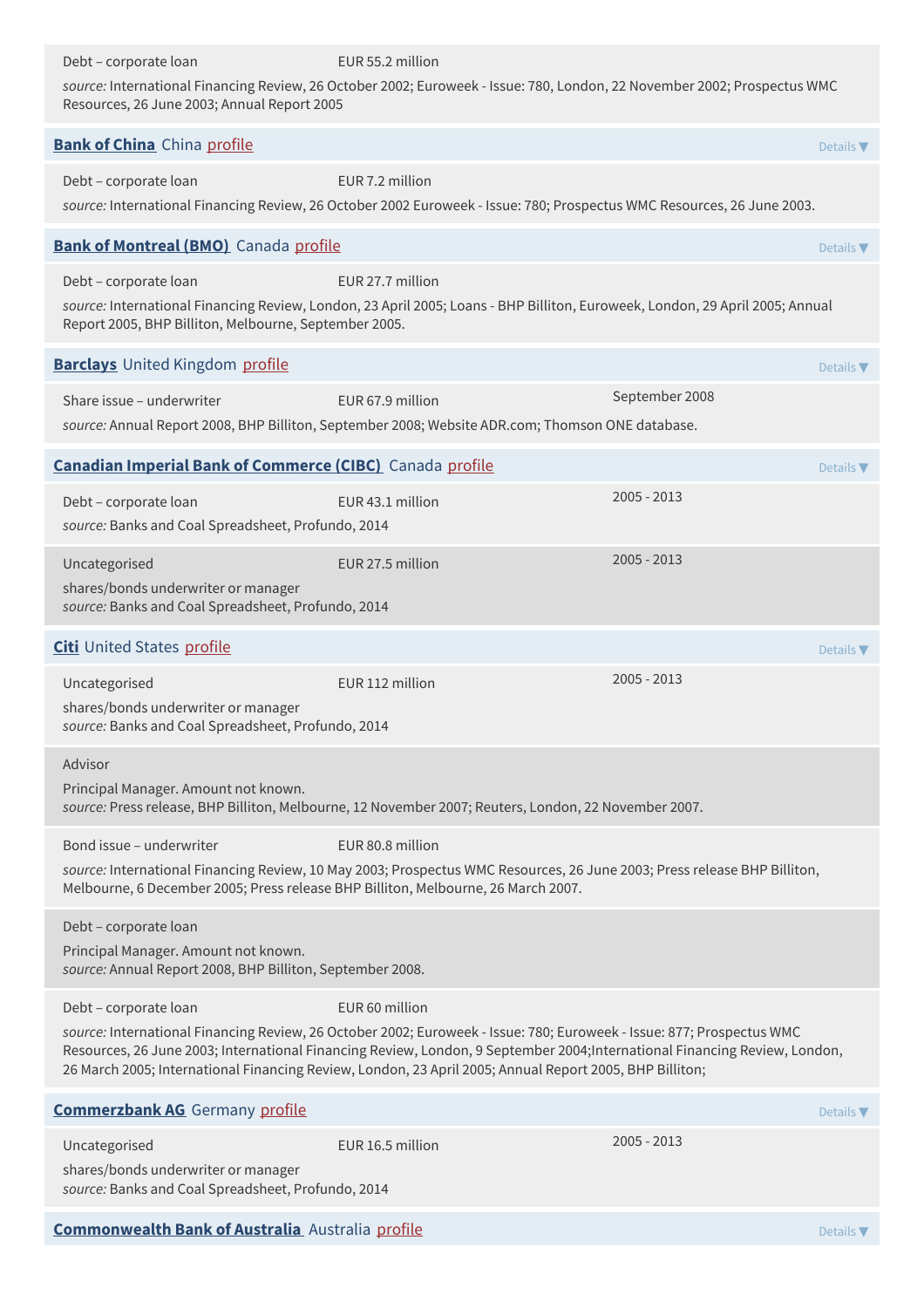Debt – corporate loan EUR 55.2 million *source:* International Financing Review, 26 October 2002; Euroweek - Issue: 780, London, 22 November 2002; Prospectus WMC Resources, 26 June 2003; Annual Report 2005 **Bank of [China](http://www.boc.cn/en/index.html)** China [profile](https://www.banktrack.org/bank/bank_of_china) Details **The China China profile Details According The Details <b>Details The Details T** Debt – corporate loan EUR 7.2 million *source:* International Financing Review, 26 October 2002 Euroweek - Issue: 780; Prospectus WMC Resources, 26 June 2003. **Bank of [Montreal](http://www.bmo.com/home) (BMO)** Canada [profile](https://www.banktrack.org/bank/bmo_financial_group) **Details According to the Details Test of Details <b>Personal Details Test** Debt – corporate loan EUR 27.7 million *source:* International Financing Review, London, 23 April 2005; Loans - BHP Billiton, Euroweek, London, 29 April 2005; Annual Report 2005, BHP Billiton, Melbourne, September 2005. **[Barclays](http://www.barclays.com)** United Kingdom [profile](https://www.banktrack.org/bank/barclays) **Details The Details According to Persons** and Details **Persons Details <b>The Details The Details** Share issue – underwriter EUR 67.9 million September 2008 *source:* Annual Report 2008, BHP Billiton, September 2008; Website ADR.com; Thomson ONE database. **Canadian Imperial Bank of [Commerce](https://www.cibc.com/en/) (CIBC)** Canada [profile](https://www.banktrack.org/bank/cibc) Details **The Canadian Canadian Constants A** Details **▼** Debt – corporate loan EUR 43.1 million 2005 - 2013 *source:* Banks and Coal Spreadsheet, Profundo, 2014 Uncategorised EUR 27.5 million 2005 - 2013 shares/bonds underwriter or manager *source:* Banks and Coal Spreadsheet, Profundo, 2014 **[Citi](http://www.citigroup.com)** United States [profile](https://www.banktrack.org/bank/citi) **Details According to Profile Details According to Profile Details <b>Profile** Details **T** Uncategorised **EUR 112 million** 2005 - 2013 shares/bonds underwriter or manager *source:* Banks and Coal Spreadsheet, Profundo, 2014 Advisor Principal Manager. Amount not known. *source:* Press release, BHP Billiton, Melbourne, 12 November 2007; Reuters, London, 22 November 2007. Bond issue – underwriter EUR 80.8 million *source:* International Financing Review, 10 May 2003; Prospectus WMC Resources, 26 June 2003; Press release BHP Billiton, Melbourne, 6 December 2005; Press release BHP Billiton, Melbourne, 26 March 2007. Debt – corporate loan Principal Manager. Amount not known. *source:* Annual Report 2008, BHP Billiton, September 2008. Debt – corporate loan EUR 60 million *source:* International Financing Review, 26 October 2002; Euroweek - Issue: 780; Euroweek - Issue: 877; Prospectus WMC Resources, 26 June 2003; International Financing Review, London, 9 September 2004;International Financing Review, London, 26 March 2005; International Financing Review, London, 23 April 2005; Annual Report 2005, BHP Billiton; **[Commerzbank](https://www.commerzbank.com/) AG** Germany [profile](https://www.banktrack.org/bank/commerzbank) **Details AC** Details **ACC Details ACC Details The Details Test of Details <b>Person** Uncategorised EUR 16.5 million 2005 - 2013 shares/bonds underwriter or manager *source:* Banks and Coal Spreadsheet, Profundo, 2014 **[Commonwealth](http://www.commbank.com.au) Bank of Australia** Australia [profile](https://www.banktrack.org/bank/commonwealth_bank) **Details Australia profile Details Transfer Australia Australia Profile Australia Australia Profile <b>Details Transfer Australia** Australia **Profile Australia** Australia **P**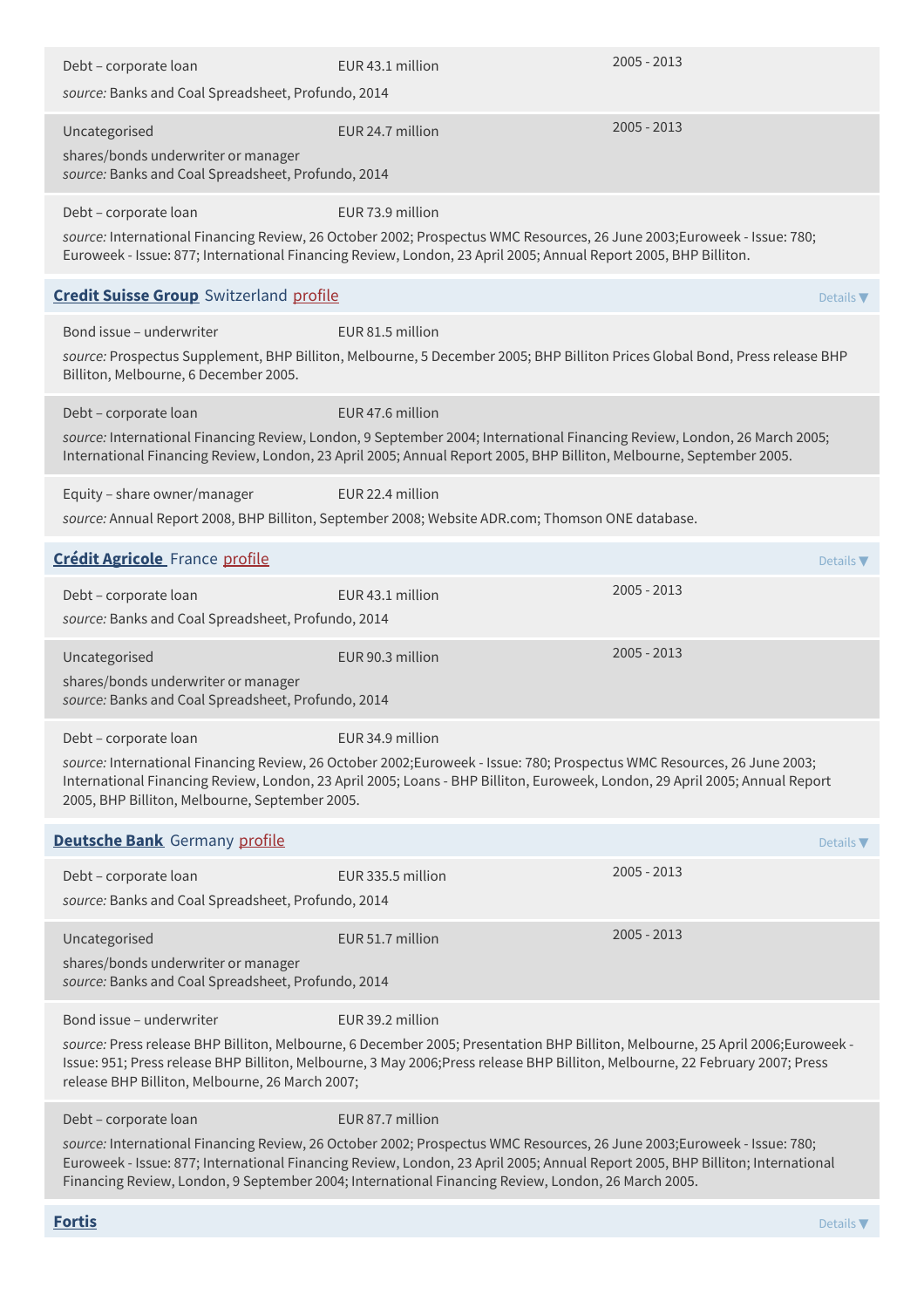| Debt - corporate loan<br>source: Banks and Coal Spreadsheet, Profundo, 2014                                | EUR 43.1 million                                                                                                                                                                                                                                                                                                                                                                  | 2005 - 2013                  |
|------------------------------------------------------------------------------------------------------------|-----------------------------------------------------------------------------------------------------------------------------------------------------------------------------------------------------------------------------------------------------------------------------------------------------------------------------------------------------------------------------------|------------------------------|
| Uncategorised<br>shares/bonds underwriter or manager<br>source: Banks and Coal Spreadsheet, Profundo, 2014 | EUR 24.7 million                                                                                                                                                                                                                                                                                                                                                                  | 2005 - 2013                  |
| Debt - corporate loan                                                                                      | EUR 73.9 million<br>source: International Financing Review, 26 October 2002; Prospectus WMC Resources, 26 June 2003;Euroweek - Issue: 780;<br>Euroweek - Issue: 877; International Financing Review, London, 23 April 2005; Annual Report 2005, BHP Billiton.                                                                                                                     |                              |
| <b>Credit Suisse Group</b> Switzerland profile                                                             |                                                                                                                                                                                                                                                                                                                                                                                   | Details $\nabla$             |
| Bond issue - underwriter<br>Billiton, Melbourne, 6 December 2005.                                          | EUR 81.5 million<br>source: Prospectus Supplement, BHP Billiton, Melbourne, 5 December 2005; BHP Billiton Prices Global Bond, Press release BHP                                                                                                                                                                                                                                   |                              |
| Debt - corporate loan                                                                                      | EUR 47.6 million<br>source: International Financing Review, London, 9 September 2004; International Financing Review, London, 26 March 2005;<br>International Financing Review, London, 23 April 2005; Annual Report 2005, BHP Billiton, Melbourne, September 2005.                                                                                                               |                              |
| Equity - share owner/manager                                                                               | EUR 22.4 million<br>source: Annual Report 2008, BHP Billiton, September 2008; Website ADR.com; Thomson ONE database.                                                                                                                                                                                                                                                              |                              |
| <b>Crédit Agricole</b> France profile                                                                      |                                                                                                                                                                                                                                                                                                                                                                                   | Details $\nabla$             |
| Debt - corporate loan<br>source: Banks and Coal Spreadsheet, Profundo, 2014                                | EUR 43.1 million                                                                                                                                                                                                                                                                                                                                                                  | $2005 - 2013$                |
| Uncategorised<br>shares/bonds underwriter or manager<br>source: Banks and Coal Spreadsheet, Profundo, 2014 | EUR 90.3 million                                                                                                                                                                                                                                                                                                                                                                  | 2005 - 2013                  |
| Debt - corporate loan<br>2005, BHP Billiton, Melbourne, September 2005.                                    | EUR 34.9 million<br>source: International Financing Review, 26 October 2002;Euroweek - Issue: 780; Prospectus WMC Resources, 26 June 2003;<br>International Financing Review, London, 23 April 2005; Loans - BHP Billiton, Euroweek, London, 29 April 2005; Annual Report                                                                                                         |                              |
| <b>Deutsche Bank</b> Germany profile                                                                       |                                                                                                                                                                                                                                                                                                                                                                                   | Details $\blacktriangledown$ |
| Debt - corporate loan<br>source: Banks and Coal Spreadsheet, Profundo, 2014                                | EUR 335.5 million                                                                                                                                                                                                                                                                                                                                                                 | $2005 - 2013$                |
| Uncategorised<br>shares/bonds underwriter or manager<br>source: Banks and Coal Spreadsheet, Profundo, 2014 | EUR 51.7 million                                                                                                                                                                                                                                                                                                                                                                  | $2005 - 2013$                |
| Bond issue - underwriter<br>release BHP Billiton, Melbourne, 26 March 2007;                                | EUR 39.2 million<br>source: Press release BHP Billiton, Melbourne, 6 December 2005; Presentation BHP Billiton, Melbourne, 25 April 2006;Euroweek -<br>Issue: 951; Press release BHP Billiton, Melbourne, 3 May 2006;Press release BHP Billiton, Melbourne, 22 February 2007; Press                                                                                                |                              |
| Debt - corporate loan                                                                                      | EUR 87.7 million<br>source: International Financing Review, 26 October 2002; Prospectus WMC Resources, 26 June 2003;Euroweek - Issue: 780;<br>Euroweek - Issue: 877; International Financing Review, London, 23 April 2005; Annual Report 2005, BHP Billiton; International<br>Financing Review, London, 9 September 2004; International Financing Review, London, 26 March 2005. |                              |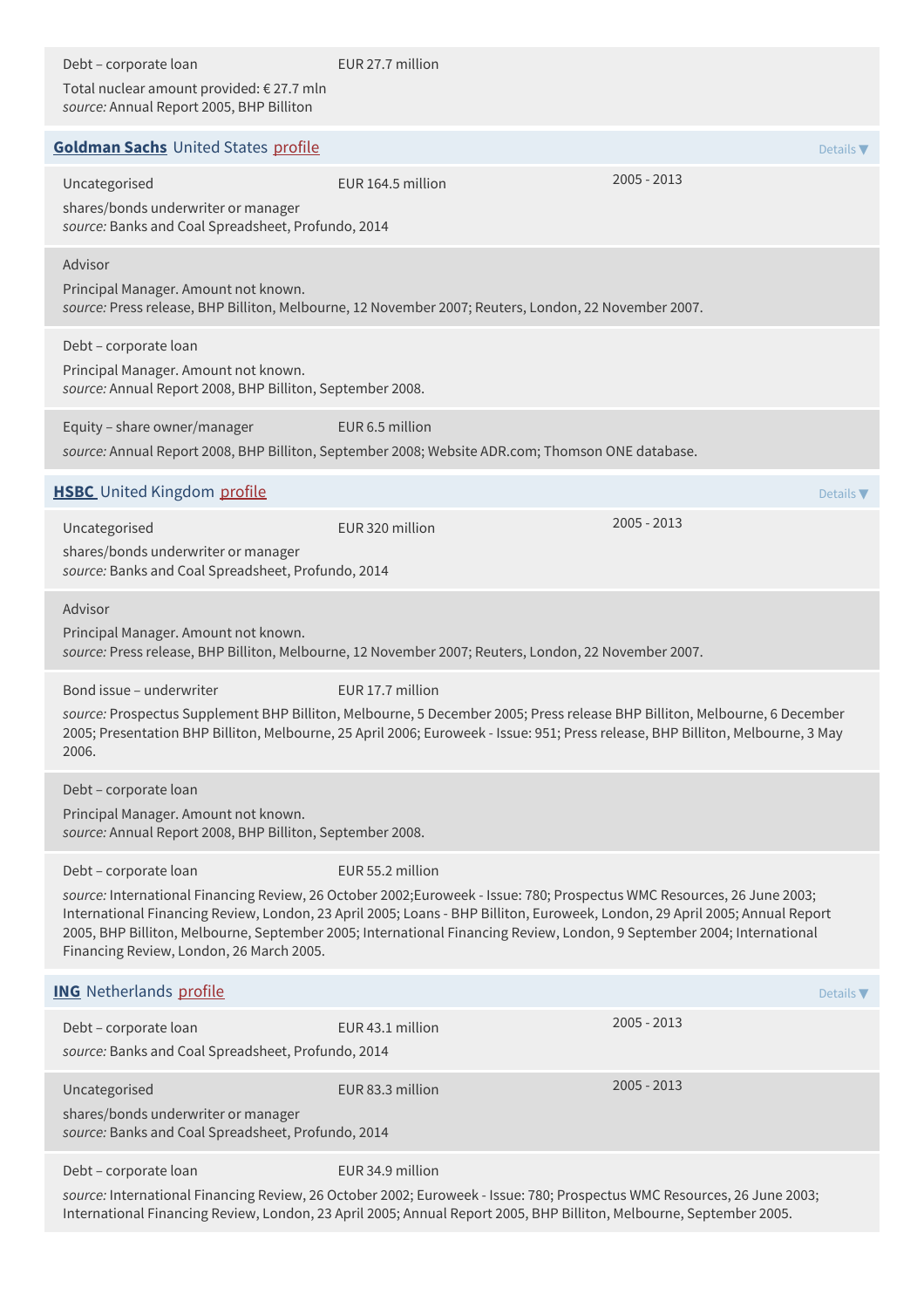| Debt - corporate loan<br>Total nuclear amount provided: €27.7 mln<br>source: Annual Report 2005, BHP Billiton              | EUR 27.7 million                                                                                                                                                                                                                                                                                                                                                                                    |                              |
|----------------------------------------------------------------------------------------------------------------------------|-----------------------------------------------------------------------------------------------------------------------------------------------------------------------------------------------------------------------------------------------------------------------------------------------------------------------------------------------------------------------------------------------------|------------------------------|
| <b>Goldman Sachs United States profile</b>                                                                                 |                                                                                                                                                                                                                                                                                                                                                                                                     | Details $\blacktriangledown$ |
| Uncategorised<br>shares/bonds underwriter or manager<br>source: Banks and Coal Spreadsheet, Profundo, 2014                 | EUR 164.5 million                                                                                                                                                                                                                                                                                                                                                                                   | $2005 - 2013$                |
| Advisor<br>Principal Manager. Amount not known.                                                                            | source: Press release, BHP Billiton, Melbourne, 12 November 2007; Reuters, London, 22 November 2007.                                                                                                                                                                                                                                                                                                |                              |
| Debt - corporate loan<br>Principal Manager. Amount not known.<br>source: Annual Report 2008, BHP Billiton, September 2008. |                                                                                                                                                                                                                                                                                                                                                                                                     |                              |
| Equity - share owner/manager                                                                                               | EUR 6.5 million<br>source: Annual Report 2008, BHP Billiton, September 2008; Website ADR.com; Thomson ONE database.                                                                                                                                                                                                                                                                                 |                              |
| <b>HSBC</b> United Kingdom profile                                                                                         |                                                                                                                                                                                                                                                                                                                                                                                                     | Details $\nabla$             |
| Uncategorised<br>shares/bonds underwriter or manager<br>source: Banks and Coal Spreadsheet, Profundo, 2014                 | EUR 320 million                                                                                                                                                                                                                                                                                                                                                                                     | $2005 - 2013$                |
| Advisor<br>Principal Manager. Amount not known.                                                                            | source: Press release, BHP Billiton, Melbourne, 12 November 2007; Reuters, London, 22 November 2007.                                                                                                                                                                                                                                                                                                |                              |
| Bond issue - underwriter<br>2006.                                                                                          | EUR 17.7 million<br>source: Prospectus Supplement BHP Billiton, Melbourne, 5 December 2005; Press release BHP Billiton, Melbourne, 6 December<br>2005; Presentation BHP Billiton, Melbourne, 25 April 2006; Euroweek - Issue: 951; Press release, BHP Billiton, Melbourne, 3 May                                                                                                                    |                              |
| Debt - corporate loan<br>Principal Manager. Amount not known.<br>source: Annual Report 2008, BHP Billiton, September 2008. |                                                                                                                                                                                                                                                                                                                                                                                                     |                              |
| Debt - corporate loan<br>Financing Review, London, 26 March 2005.                                                          | EUR 55.2 million<br>source: International Financing Review, 26 October 2002;Euroweek - Issue: 780; Prospectus WMC Resources, 26 June 2003;<br>International Financing Review, London, 23 April 2005; Loans - BHP Billiton, Euroweek, London, 29 April 2005; Annual Report<br>2005, BHP Billiton, Melbourne, September 2005; International Financing Review, London, 9 September 2004; International |                              |
| <b>ING</b> Netherlands profile                                                                                             |                                                                                                                                                                                                                                                                                                                                                                                                     | Details $\blacktriangledown$ |
| Debt - corporate loan<br>source: Banks and Coal Spreadsheet, Profundo, 2014                                                | EUR 43.1 million                                                                                                                                                                                                                                                                                                                                                                                    | $2005 - 2013$                |
| Uncategorised<br>shares/bonds underwriter or manager<br>source: Banks and Coal Spreadsheet, Profundo, 2014                 | EUR 83.3 million                                                                                                                                                                                                                                                                                                                                                                                    | $2005 - 2013$                |
| Debt - corporate loan                                                                                                      | EUR 34.9 million                                                                                                                                                                                                                                                                                                                                                                                    |                              |
| International Financing Review, London, 23 April 2005; Annual Report 2005, BHP Billiton, Melbourne, September 2005.        | source: International Financing Review, 26 October 2002; Euroweek - Issue: 780; Prospectus WMC Resources, 26 June 2003;                                                                                                                                                                                                                                                                             |                              |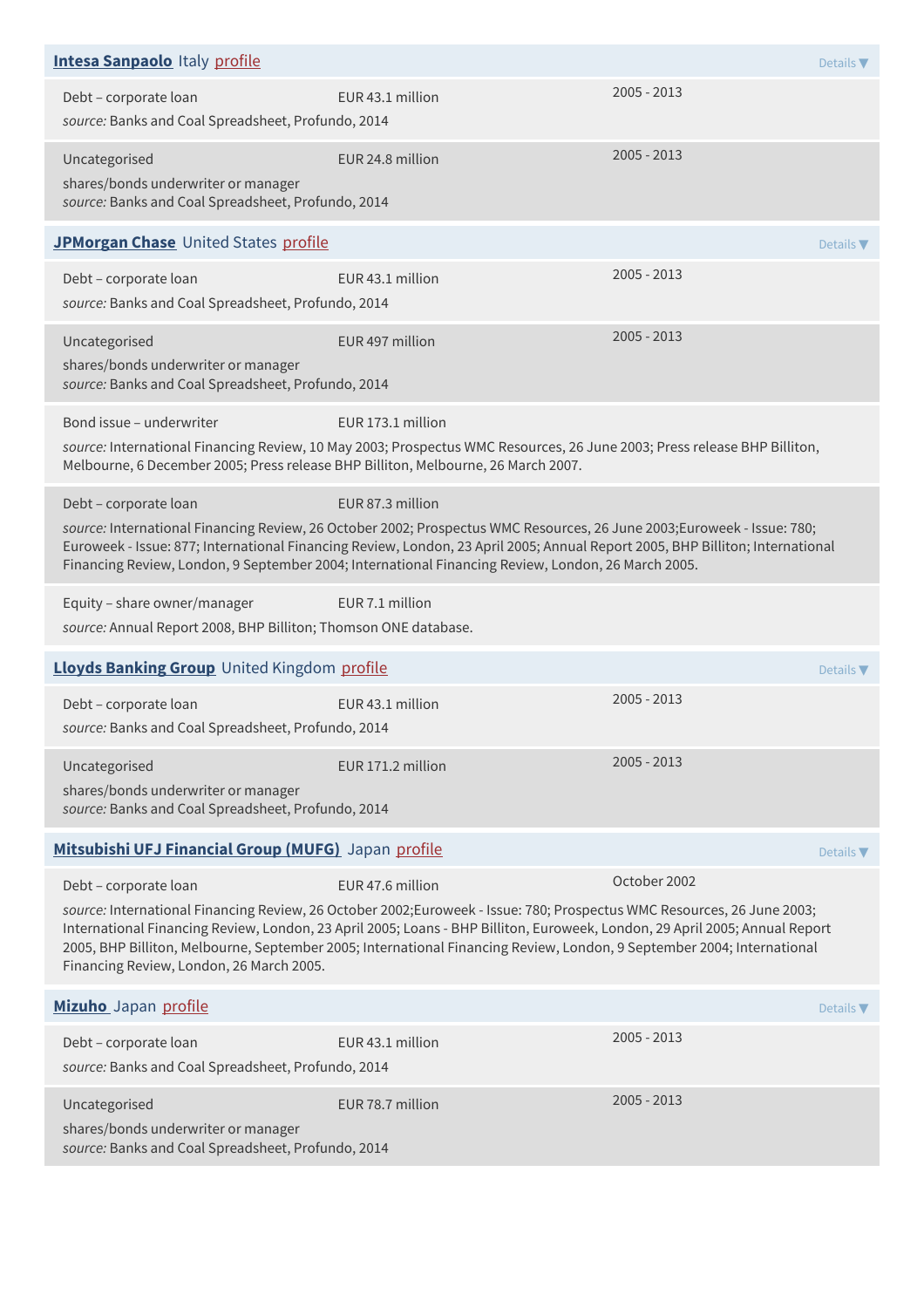| <b>Intesa Sanpaolo Italy profile</b>                                                                          |                                                                                                                                                                                                                                                                                                                                                                                                     | Details $\blacktriangledown$ |  |
|---------------------------------------------------------------------------------------------------------------|-----------------------------------------------------------------------------------------------------------------------------------------------------------------------------------------------------------------------------------------------------------------------------------------------------------------------------------------------------------------------------------------------------|------------------------------|--|
| Debt - corporate loan<br>source: Banks and Coal Spreadsheet, Profundo, 2014                                   | EUR 43.1 million                                                                                                                                                                                                                                                                                                                                                                                    | $2005 - 2013$                |  |
| Uncategorised<br>shares/bonds underwriter or manager<br>source: Banks and Coal Spreadsheet, Profundo, 2014    | EUR 24.8 million                                                                                                                                                                                                                                                                                                                                                                                    | $2005 - 2013$                |  |
| JPMorgan Chase United States profile                                                                          |                                                                                                                                                                                                                                                                                                                                                                                                     | Details $\nabla$             |  |
| Debt - corporate loan<br>source: Banks and Coal Spreadsheet, Profundo, 2014                                   | EUR 43.1 million                                                                                                                                                                                                                                                                                                                                                                                    | $2005 - 2013$                |  |
| Uncategorised<br>shares/bonds underwriter or manager<br>source: Banks and Coal Spreadsheet, Profundo, 2014    | EUR 497 million                                                                                                                                                                                                                                                                                                                                                                                     | $2005 - 2013$                |  |
| Bond issue - underwriter<br>Melbourne, 6 December 2005; Press release BHP Billiton, Melbourne, 26 March 2007. | EUR 173.1 million<br>source: International Financing Review, 10 May 2003; Prospectus WMC Resources, 26 June 2003; Press release BHP Billiton,                                                                                                                                                                                                                                                       |                              |  |
| Debt - corporate loan                                                                                         | EUR 87.3 million<br>source: International Financing Review, 26 October 2002; Prospectus WMC Resources, 26 June 2003;Euroweek - Issue: 780;<br>Euroweek - Issue: 877; International Financing Review, London, 23 April 2005; Annual Report 2005, BHP Billiton; International<br>Financing Review, London, 9 September 2004; International Financing Review, London, 26 March 2005.                   |                              |  |
| Equity - share owner/manager<br>source: Annual Report 2008, BHP Billiton; Thomson ONE database.               | EUR 7.1 million                                                                                                                                                                                                                                                                                                                                                                                     |                              |  |
| Lloyds Banking Group United Kingdom profile                                                                   |                                                                                                                                                                                                                                                                                                                                                                                                     | Details $\blacktriangledown$ |  |
| Debt - corporate loan<br>source: Banks and Coal Spreadsheet, Profundo, 2014                                   | EUR 43.1 million                                                                                                                                                                                                                                                                                                                                                                                    | $2005 - 2013$                |  |
| Uncategorised<br>shares/bonds underwriter or manager<br>source: Banks and Coal Spreadsheet, Profundo, 2014    | EUR 171.2 million                                                                                                                                                                                                                                                                                                                                                                                   | $2005 - 2013$                |  |
| Mitsubishi UFJ Financial Group (MUFG) Japan profile                                                           |                                                                                                                                                                                                                                                                                                                                                                                                     | Details $\blacktriangledown$ |  |
| Debt - corporate loan<br>Financing Review, London, 26 March 2005.                                             | EUR 47.6 million<br>source: International Financing Review, 26 October 2002;Euroweek - Issue: 780; Prospectus WMC Resources, 26 June 2003;<br>International Financing Review, London, 23 April 2005; Loans - BHP Billiton, Euroweek, London, 29 April 2005; Annual Report<br>2005, BHP Billiton, Melbourne, September 2005; International Financing Review, London, 9 September 2004; International | October 2002                 |  |
| Mizuho Japan profile                                                                                          |                                                                                                                                                                                                                                                                                                                                                                                                     | Details $\nabla$             |  |
| Debt - corporate loan<br>source: Banks and Coal Spreadsheet, Profundo, 2014                                   | EUR 43.1 million                                                                                                                                                                                                                                                                                                                                                                                    | $2005 - 2013$                |  |
| Uncategorised<br>shares/bonds underwriter or manager<br>source: Banks and Coal Spreadsheet, Profundo, 2014    | EUR 78.7 million                                                                                                                                                                                                                                                                                                                                                                                    | $2005 - 2013$                |  |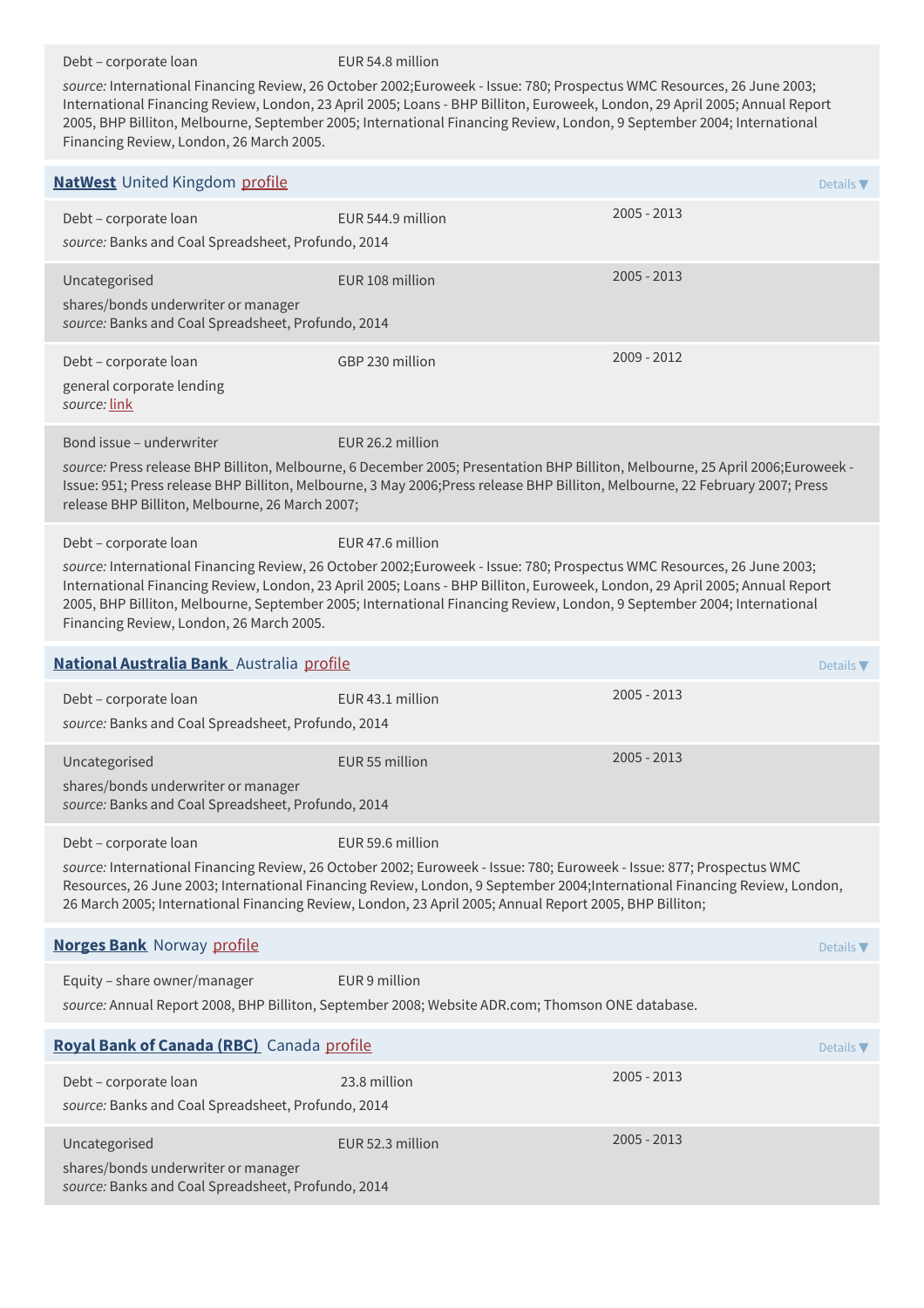Debt – corporate loan EUR 54.8 million

*source:* International Financing Review, 26 October 2002;Euroweek - Issue: 780; Prospectus WMC Resources, 26 June 2003; International Financing Review, London, 23 April 2005; Loans - BHP Billiton, Euroweek, London, 29 April 2005; Annual Report 2005, BHP Billiton, Melbourne, September 2005; International Financing Review, London, 9 September 2004; International Financing Review, London, 26 March 2005.

| <b>NatWest</b> United Kingdom profile                                                                      |                                                                                                                                                                                                                                                                                                                                                                                                     | Details $\nabla$             |                  |
|------------------------------------------------------------------------------------------------------------|-----------------------------------------------------------------------------------------------------------------------------------------------------------------------------------------------------------------------------------------------------------------------------------------------------------------------------------------------------------------------------------------------------|------------------------------|------------------|
| Debt - corporate loan<br>source: Banks and Coal Spreadsheet, Profundo, 2014                                | EUR 544.9 million                                                                                                                                                                                                                                                                                                                                                                                   | $2005 - 2013$                |                  |
| Uncategorised<br>shares/bonds underwriter or manager<br>source: Banks and Coal Spreadsheet, Profundo, 2014 | EUR 108 million                                                                                                                                                                                                                                                                                                                                                                                     | $2005 - 2013$                |                  |
| Debt - corporate loan<br>general corporate lending<br>source: link                                         | GBP 230 million                                                                                                                                                                                                                                                                                                                                                                                     | $2009 - 2012$                |                  |
| Bond issue – underwriter<br>release BHP Billiton, Melbourne, 26 March 2007;                                | EUR 26.2 million<br>source: Press release BHP Billiton, Melbourne, 6 December 2005; Presentation BHP Billiton, Melbourne, 25 April 2006;Euroweek -<br>Issue: 951; Press release BHP Billiton, Melbourne, 3 May 2006;Press release BHP Billiton, Melbourne, 22 February 2007; Press                                                                                                                  |                              |                  |
| Debt - corporate loan<br>Financing Review, London, 26 March 2005.                                          | EUR 47.6 million<br>source: International Financing Review, 26 October 2002;Euroweek - Issue: 780; Prospectus WMC Resources, 26 June 2003;<br>International Financing Review, London, 23 April 2005; Loans - BHP Billiton, Euroweek, London, 29 April 2005; Annual Report<br>2005, BHP Billiton, Melbourne, September 2005; International Financing Review, London, 9 September 2004; International |                              |                  |
| National Australia Bank Australia profile                                                                  |                                                                                                                                                                                                                                                                                                                                                                                                     | Details $\blacktriangledown$ |                  |
| Debt - corporate loan<br>source: Banks and Coal Spreadsheet, Profundo, 2014                                | EUR 43.1 million                                                                                                                                                                                                                                                                                                                                                                                    | $2005 - 2013$                |                  |
| Uncategorised<br>shares/bonds underwriter or manager<br>source: Banks and Coal Spreadsheet, Profundo, 2014 | EUR 55 million                                                                                                                                                                                                                                                                                                                                                                                      | $2005 - 2013$                |                  |
| Debt - corporate loan                                                                                      | EUR 59.6 million<br>source: International Financing Review, 26 October 2002; Euroweek - Issue: 780; Euroweek - Issue: 877; Prospectus WMC<br>Resources, 26 June 2003; International Financing Review, London, 9 September 2004;International Financing Review, London,<br>26 March 2005; International Financing Review, London, 23 April 2005; Annual Report 2005, BHP Billiton;                   |                              |                  |
| <b>Norges Bank</b> Norway profile                                                                          |                                                                                                                                                                                                                                                                                                                                                                                                     |                              | Details $\nabla$ |
| Equity - share owner/manager                                                                               | EUR 9 million<br>source: Annual Report 2008, BHP Billiton, September 2008; Website ADR.com; Thomson ONE database.                                                                                                                                                                                                                                                                                   |                              |                  |
| Royal Bank of Canada (RBC) Canada profile                                                                  |                                                                                                                                                                                                                                                                                                                                                                                                     | Details $\nabla$             |                  |
| Debt - corporate loan<br>source: Banks and Coal Spreadsheet, Profundo, 2014                                | 23.8 million                                                                                                                                                                                                                                                                                                                                                                                        | $2005 - 2013$                |                  |
| Uncategorised<br>shares/bonds underwriter or manager<br>source: Banks and Coal Spreadsheet, Profundo, 2014 | EUR 52.3 million                                                                                                                                                                                                                                                                                                                                                                                    | $2005 - 2013$                |                  |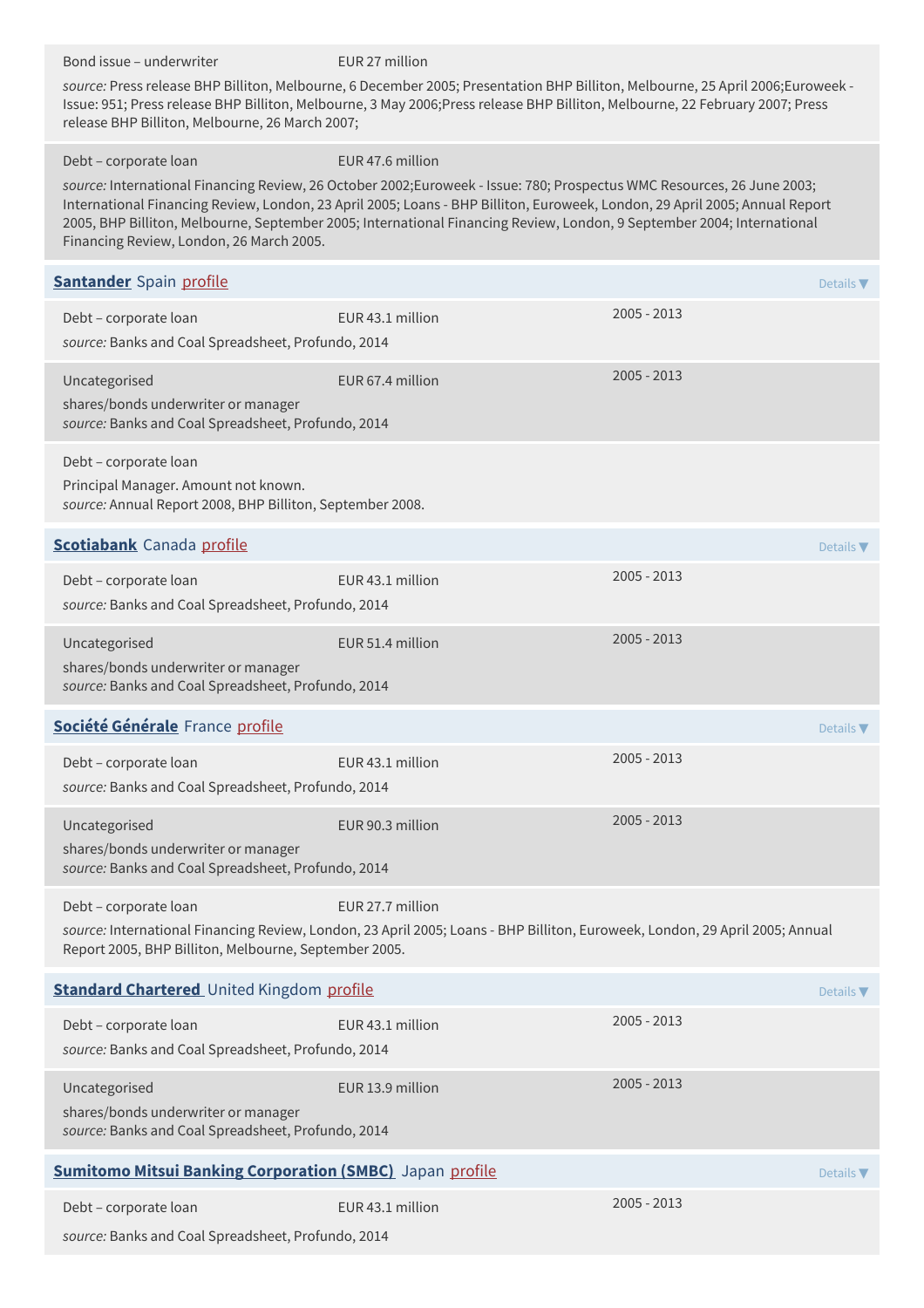Bond issue – underwriter EUR 27 million *source:* Press release BHP Billiton, Melbourne, 6 December 2005; Presentation BHP Billiton, Melbourne, 25 April 2006;Euroweek - Issue: 951; Press release BHP Billiton, Melbourne, 3 May 2006;Press release BHP Billiton, Melbourne, 22 February 2007; Press release BHP Billiton, Melbourne, 26 March 2007; Debt – corporate loan EUR 47.6 million *source:* International Financing Review, 26 October 2002;Euroweek - Issue: 780; Prospectus WMC Resources, 26 June 2003; International Financing Review, London, 23 April 2005; Loans - BHP Billiton, Euroweek, London, 29 April 2005; Annual Report 2005, BHP Billiton, Melbourne, September 2005; International Financing Review, London, 9 September 2004; International Financing Review, London, 26 March 2005. **[Santander](http://www.santander.com)** Spain [profile](https://www.banktrack.org/bank/santander) **Details The Details <b>Santander** Spain Details **The Details The Details The Details The Details The Details The Details The Details The Details The Details The Details The Details The Details The** Debt – corporate loan EUR 43.1 million 2005 - 2013 *source:* Banks and Coal Spreadsheet, Profundo, 2014 Uncategorised EUR 67.4 million 2005 - 2013 shares/bonds underwriter or manager *source:* Banks and Coal Spreadsheet, Profundo, 2014 Debt – corporate loan Principal Manager. Amount not known. *source:* Annual Report 2008, BHP Billiton, September 2008. **[Scotiabank](http://www.scotiabank.com)** Canada [profile](https://www.banktrack.org/bank/scotiabank) **Details The Details According to the Details Theory of the Details Theory of the Details Theory of the Details Theory of the Details Theory of the Details Theory of the Details Theory of the De** Debt – corporate loan EUR 43.1 million 2005 - 2013 *source:* Banks and Coal Spreadsheet, Profundo, 2014 Uncategorised EUR 51.4 million 2005 - 2013 shares/bonds underwriter or manager *source:* Banks and Coal Spreadsheet, Profundo, 2014 **Société [Générale](http://www.societegenerale.com/)** France [profile](https://www.banktrack.org/bank/societe_generale) Details ▼ Debt – corporate loan EUR 43.1 million 2005 - 2013 *source:* Banks and Coal Spreadsheet, Profundo, 2014 Uncategorised EUR 90.3 million 2005 - 2013 shares/bonds underwriter or manager *source:* Banks and Coal Spreadsheet, Profundo, 2014 Debt – corporate loan EUR 27.7 million *source:* International Financing Review, London, 23 April 2005; Loans - BHP Billiton, Euroweek, London, 29 April 2005; Annual Report 2005, BHP Billiton, Melbourne, September 2005. **Standard [Chartered](http://www.standardchartered.com)** United Kingdom [profile](https://www.banktrack.org/bank/standard_chartered) **Details The United Standard Charters Details <b>The Details The Details Petails** Debt – corporate loan EUR 43.1 million 2005 - 2013 *source:* Banks and Coal Spreadsheet, Profundo, 2014 Uncategorised **EUR 13.9 million** 2005 - 2013 shares/bonds underwriter or manager *source:* Banks and Coal Spreadsheet, Profundo, 2014 **Sumitomo Mitsui Banking [Corporation](http://www.smbc.co.jp/global/index.html) (SMBC)** Japan [profile](https://www.banktrack.org/bank/sumitomo_mitsui_banking_corporation) **Details The Details Test of Details Test of Details <b>T** Debt – corporate loan EUR 43.1 million 2005 - 2013 *source:* Banks and Coal Spreadsheet, Profundo, 2014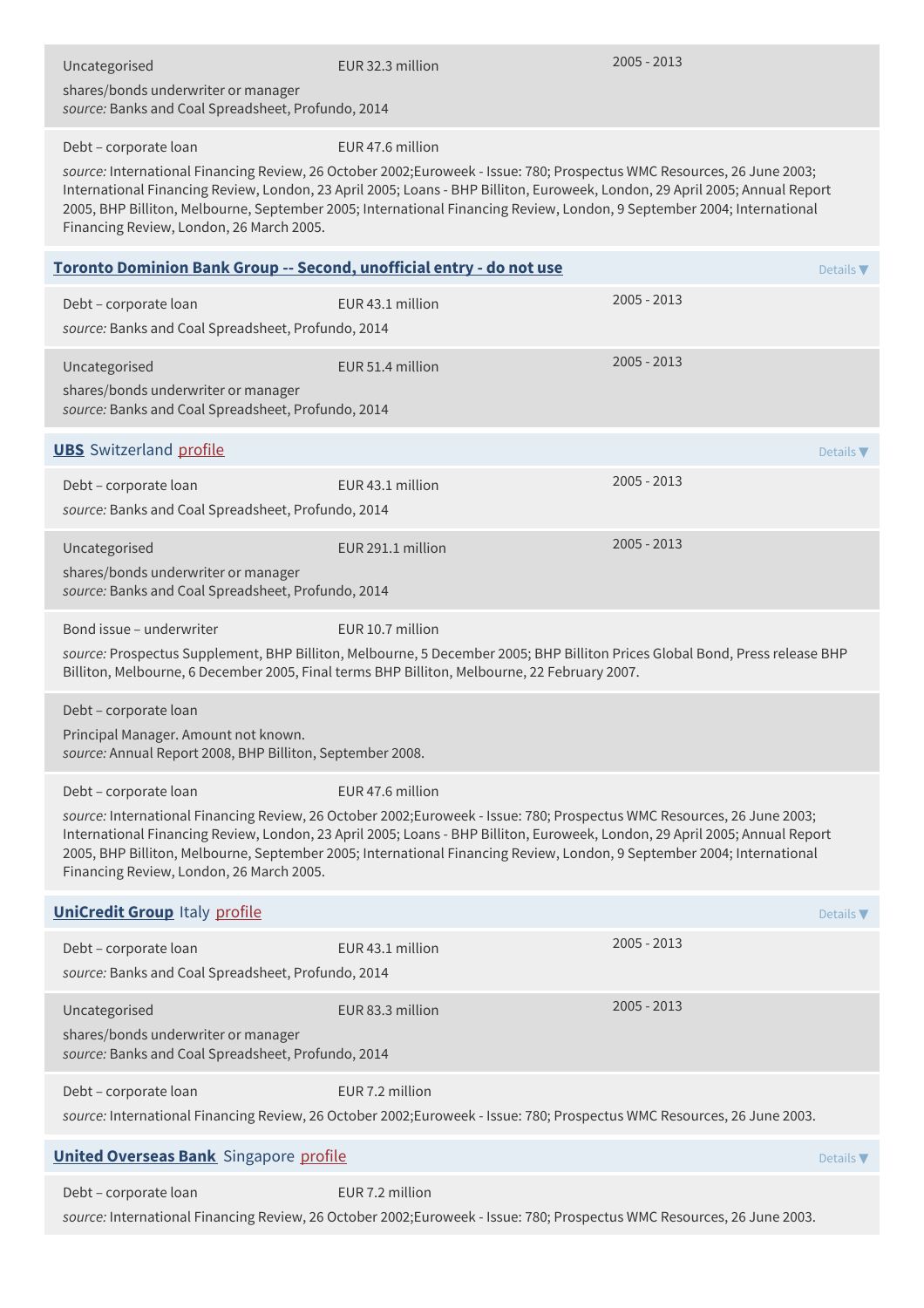| Uncategorised<br>shares/bonds underwriter or manager<br>source: Banks and Coal Spreadsheet, Profundo, 2014                 | EUR 32.3 million                                                                                                                                                                                                                                                                                                                                                                                    | 2005 - 2013   |                  |
|----------------------------------------------------------------------------------------------------------------------------|-----------------------------------------------------------------------------------------------------------------------------------------------------------------------------------------------------------------------------------------------------------------------------------------------------------------------------------------------------------------------------------------------------|---------------|------------------|
| Debt - corporate loan<br>Financing Review, London, 26 March 2005.                                                          | EUR 47.6 million<br>source: International Financing Review, 26 October 2002;Euroweek - Issue: 780; Prospectus WMC Resources, 26 June 2003;<br>International Financing Review, London, 23 April 2005; Loans - BHP Billiton, Euroweek, London, 29 April 2005; Annual Report<br>2005, BHP Billiton, Melbourne, September 2005; International Financing Review, London, 9 September 2004; International |               |                  |
| Toronto Dominion Bank Group -- Second, unofficial entry - do not use                                                       |                                                                                                                                                                                                                                                                                                                                                                                                     |               | Details $\nabla$ |
| Debt - corporate loan<br>source: Banks and Coal Spreadsheet, Profundo, 2014                                                | EUR 43.1 million                                                                                                                                                                                                                                                                                                                                                                                    | 2005 - 2013   |                  |
| Uncategorised<br>shares/bonds underwriter or manager<br>source: Banks and Coal Spreadsheet, Profundo, 2014                 | EUR 51.4 million                                                                                                                                                                                                                                                                                                                                                                                    | 2005 - 2013   |                  |
| <b>UBS</b> Switzerland profile                                                                                             |                                                                                                                                                                                                                                                                                                                                                                                                     |               | Details $\nabla$ |
| Debt - corporate loan<br>source: Banks and Coal Spreadsheet, Profundo, 2014                                                | EUR 43.1 million                                                                                                                                                                                                                                                                                                                                                                                    | 2005 - 2013   |                  |
| Uncategorised<br>shares/bonds underwriter or manager<br>source: Banks and Coal Spreadsheet, Profundo, 2014                 | EUR 291.1 million                                                                                                                                                                                                                                                                                                                                                                                   | 2005 - 2013   |                  |
| Bond issue - underwriter                                                                                                   | EUR 10.7 million<br>source: Prospectus Supplement, BHP Billiton, Melbourne, 5 December 2005; BHP Billiton Prices Global Bond, Press release BHP<br>Billiton, Melbourne, 6 December 2005, Final terms BHP Billiton, Melbourne, 22 February 2007.                                                                                                                                                     |               |                  |
| Debt - corporate loan<br>Principal Manager. Amount not known.<br>source: Annual Report 2008, BHP Billiton, September 2008. |                                                                                                                                                                                                                                                                                                                                                                                                     |               |                  |
| Debt - corporate loan<br>Financing Review, London, 26 March 2005.                                                          | EUR 47.6 million<br>source: International Financing Review, 26 October 2002;Euroweek - Issue: 780; Prospectus WMC Resources, 26 June 2003;<br>International Financing Review, London, 23 April 2005; Loans - BHP Billiton, Euroweek, London, 29 April 2005; Annual Report<br>2005, BHP Billiton, Melbourne, September 2005; International Financing Review, London, 9 September 2004; International |               |                  |
| <b>UniCredit Group Italy profile</b>                                                                                       |                                                                                                                                                                                                                                                                                                                                                                                                     |               | Details $\nabla$ |
| Debt - corporate loan<br>source: Banks and Coal Spreadsheet, Profundo, 2014                                                | EUR 43.1 million                                                                                                                                                                                                                                                                                                                                                                                    | $2005 - 2013$ |                  |
| Uncategorised<br>shares/bonds underwriter or manager<br>source: Banks and Coal Spreadsheet, Profundo, 2014                 | EUR 83.3 million                                                                                                                                                                                                                                                                                                                                                                                    | 2005 - 2013   |                  |
| Debt - corporate loan                                                                                                      | EUR 7.2 million<br>source: International Financing Review, 26 October 2002;Euroweek - Issue: 780; Prospectus WMC Resources, 26 June 2003.                                                                                                                                                                                                                                                           |               |                  |
| <b>United Overseas Bank</b> Singapore profile<br>Details $\nabla$                                                          |                                                                                                                                                                                                                                                                                                                                                                                                     |               |                  |
| Debt - corporate loan                                                                                                      | EUR 7.2 million<br>source: International Financing Review, 26 October 2002;Euroweek - Issue: 780; Prospectus WMC Resources, 26 June 2003.                                                                                                                                                                                                                                                           |               |                  |
|                                                                                                                            |                                                                                                                                                                                                                                                                                                                                                                                                     |               |                  |